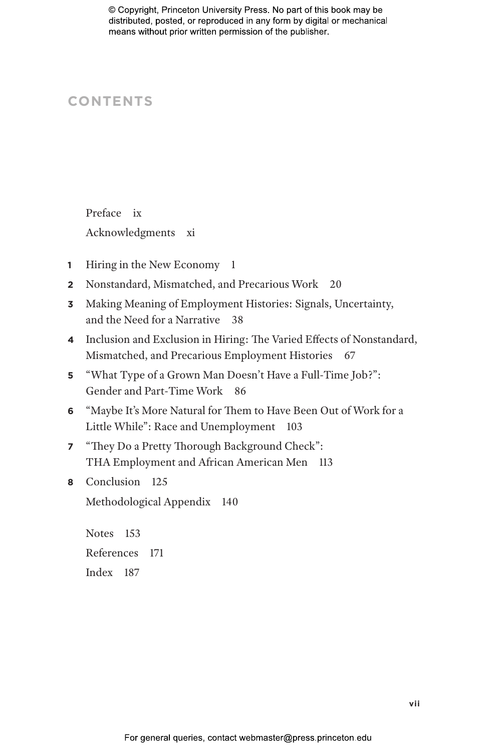# **CONTENTS**

Preface ix Acknowledgments xi

- **1** Hiring in the New Economy 1
- **2** Nonstandard, Mismatched, and Precarious Work 20
- **3** Making Meaning of Employment Histories: Signals, Uncertainty, and the Need for a Narrative 38
- **4** Inclusion and Exclusion in Hiring: The Varied Effects of Nonstandard, Mismatched, and Precarious Employment Histories 67
- **5** "What Type of a Grown Man Doesn't Have a Full-Time Job?": Gender and Part-Time Work 86
- **6** "Maybe It's More Natural for Them to Have Been Out of Work for a Little While": Race and Unemployment 103
- **7** "They Do a Pretty Thorough Background Check": THA Employment and African American Men 113
- **8** Conclusion 125

Methodological Appendix 140

Notes 153 References 171 Index 187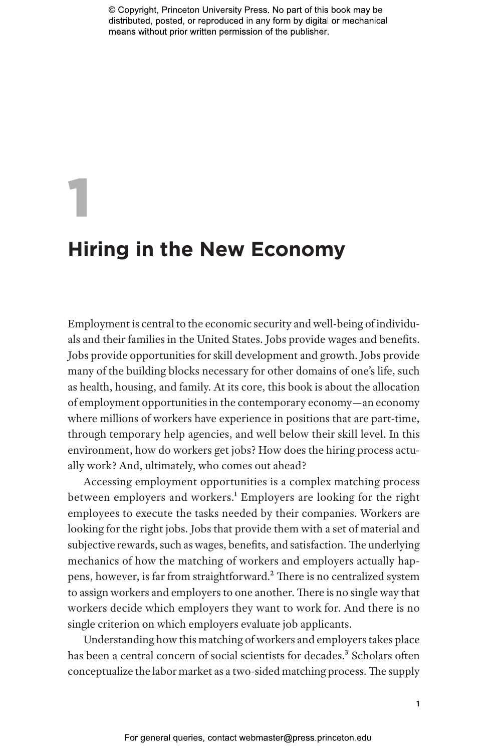# 1 **Hiring in the New Economy**

Employment is central to the economic security and well-being of individuals and their families in the United States. Jobs provide wages and benefits. Jobs provide opportunities for skill development and growth. Jobs provide many of the building blocks necessary for other domains of one's life, such as health, housing, and family. At its core, this book is about the allocation of employment opportunities in the contemporary economy—an economy where millions of workers have experience in positions that are part-time, through temporary help agencies, and well below their skill level. In this environment, how do workers get jobs? How does the hiring process actually work? And, ultimately, who comes out ahead?

Accessing employment opportunities is a complex matching process between employers and workers.<sup>1</sup> Employers are looking for the right employees to execute the tasks needed by their companies. Workers are looking for the right jobs. Jobs that provide them with a set of material and subjective rewards, such as wages, benefits, and satisfaction. The underlying mechanics of how the matching of workers and employers actually happens, however, is far from straightforward.2 There is no centralized system to assign workers and employers to one another. There is no single way that workers decide which employers they want to work for. And there is no single criterion on which employers evaluate job applicants.

Understanding how this matching of workers and employers takes place has been a central concern of social scientists for decades.<sup>3</sup> Scholars often conceptualize the labor market as a two-sided matching process. The supply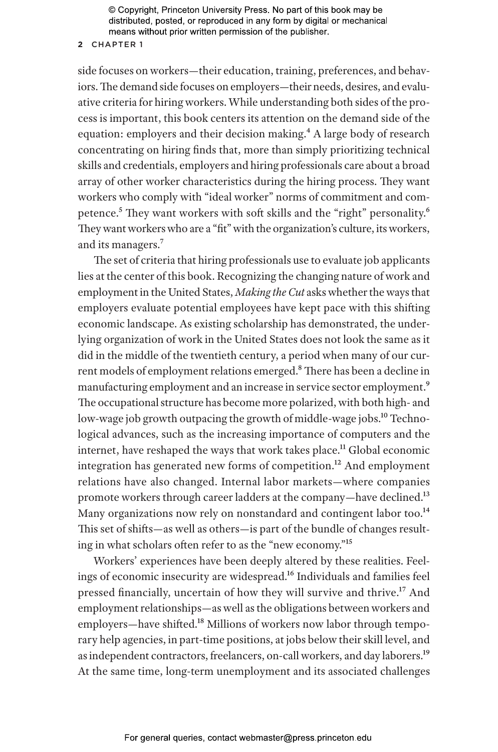# **2** CHAPTER 1

side focuses on workers—their education, training, preferences, and behaviors. The demand side focuses on employers—their needs, desires, and evaluative criteria for hiring workers. While understanding both sides of the process is important, this book centers its attention on the demand side of the equation: employers and their decision making.<sup>4</sup> A large body of research concentrating on hiring finds that, more than simply prioritizing technical skills and credentials, employers and hiring professionals care about a broad array of other worker characteristics during the hiring process. They want workers who comply with "ideal worker" norms of commitment and competence.<sup>5</sup> They want workers with soft skills and the "right" personality.<sup>6</sup> They want workers who are a "fit" with the organization's culture, its workers, and its managers.<sup>7</sup>

The set of criteria that hiring professionals use to evaluate job applicants lies at the center of this book. Recognizing the changing nature of work and employment in the United States, *Making the Cut* asks whether the ways that employers evaluate potential employees have kept pace with this shifting economic landscape. As existing scholarship has demonstrated, the underlying organization of work in the United States does not look the same as it did in the middle of the twentieth century, a period when many of our current models of employment relations emerged.<sup>8</sup> There has been a decline in manufacturing employment and an increase in service sector employment.<sup>9</sup> The occupational structure has become more polarized, with both high- and low-wage job growth outpacing the growth of middle-wage jobs.<sup>10</sup> Technological advances, such as the increasing importance of computers and the internet, have reshaped the ways that work takes place.<sup>11</sup> Global economic integration has generated new forms of competition.<sup>12</sup> And employment relations have also changed. Internal labor markets—where companies promote workers through career ladders at the company—have declined.13 Many organizations now rely on nonstandard and contingent labor too.<sup>14</sup> This set of shifts—as well as others—is part of the bundle of changes resulting in what scholars often refer to as the "new economy."15

Workers' experiences have been deeply altered by these realities. Feelings of economic insecurity are widespread.16 Individuals and families feel pressed financially, uncertain of how they will survive and thrive.17 And employment relationships—as well as the obligations between workers and employers—have shifted.<sup>18</sup> Millions of workers now labor through temporary help agencies, in part-time positions, at jobs below their skill level, and as independent contractors, freelancers, on-call workers, and day laborers.<sup>19</sup> At the same time, long-term unemployment and its associated challenges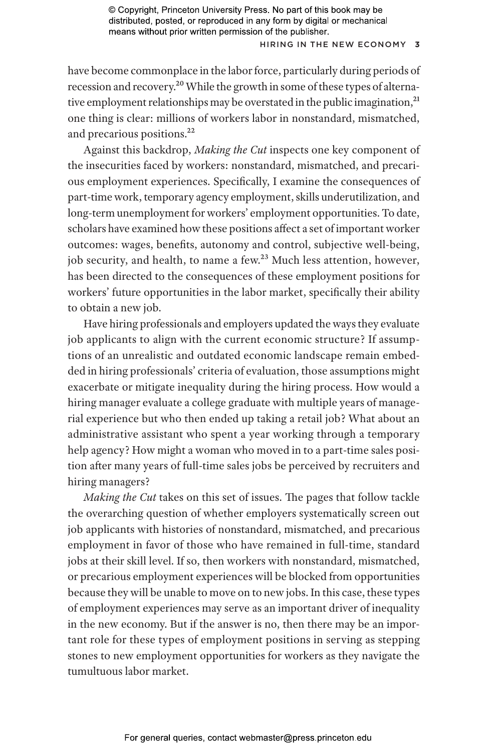## H iring in the New Economy **3**

have become commonplace in the labor force, particularly during periods of recession and recovery.20 While the growth in some of these types of alternative employment relationships may be overstated in the public imagination,<sup>21</sup> one thing is clear: millions of workers labor in nonstandard, mismatched, and precarious positions.<sup>22</sup>

Against this backdrop, *Making the Cut* inspects one key component of the insecurities faced by workers: nonstandard, mismatched, and precarious employment experiences. Specifically, I examine the consequences of part-time work, temporary agency employment, skills underutilization, and long-term unemployment for workers' employment opportunities. To date, scholars have examined how these positions affect a set of important worker outcomes: wages, benefits, autonomy and control, subjective well-being, job security, and health, to name a few.<sup>23</sup> Much less attention, however, has been directed to the consequences of these employment positions for workers' future opportunities in the labor market, specifically their ability to obtain a new job.

Have hiring professionals and employers updated the ways they evaluate job applicants to align with the current economic structure? If assumptions of an unrealistic and outdated economic landscape remain embedded in hiring professionals' criteria of evaluation, those assumptions might exacerbate or mitigate inequality during the hiring process. How would a hiring manager evaluate a college graduate with multiple years of managerial experience but who then ended up taking a retail job? What about an administrative assistant who spent a year working through a temporary help agency? How might a woman who moved in to a part-time sales position after many years of full-time sales jobs be perceived by recruiters and hiring managers?

*Making the Cut* takes on this set of issues. The pages that follow tackle the overarching question of whether employers systematically screen out job applicants with histories of nonstandard, mismatched, and precarious employment in favor of those who have remained in full-time, standard jobs at their skill level. If so, then workers with nonstandard, mismatched, or precarious employment experiences will be blocked from opportunities because they will be unable to move on to new jobs. In this case, these types of employment experiences may serve as an important driver of inequality in the new economy. But if the answer is no, then there may be an important role for these types of employment positions in serving as stepping stones to new employment opportunities for workers as they navigate the tumultuous labor market.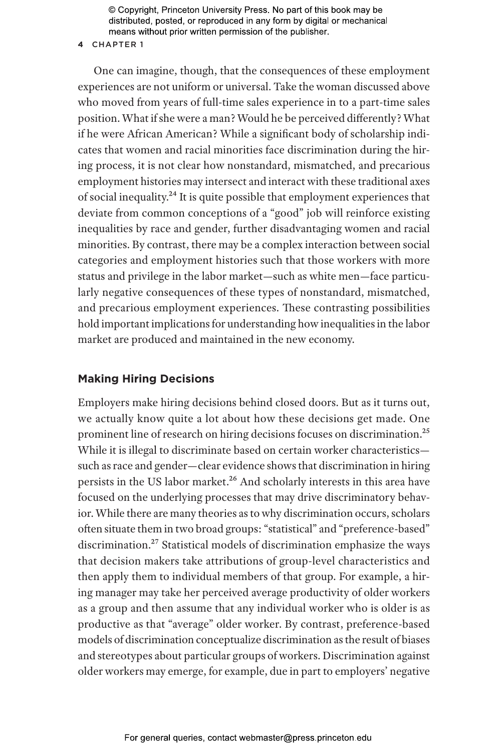#### **4** CHAPTER 1

One can imagine, though, that the consequences of these employment experiences are not uniform or universal. Take the woman discussed above who moved from years of full-time sales experience in to a part-time sales position. What if she were a man? Would he be perceived differently? What if he were African American? While a significant body of scholarship indicates that women and racial minorities face discrimination during the hiring process, it is not clear how nonstandard, mismatched, and precarious employment histories may intersect and interact with these traditional axes of social inequality.24 It is quite possible that employment experiences that deviate from common conceptions of a "good" job will reinforce existing inequalities by race and gender, further disadvantaging women and racial minorities. By contrast, there may be a complex interaction between social categories and employment histories such that those workers with more status and privilege in the labor market—such as white men—face particularly negative consequences of these types of nonstandard, mismatched, and precarious employment experiences. These contrasting possibilities hold important implications for understanding how inequalities in the labor market are produced and maintained in the new economy.

# **Making Hiring Decisions**

Employers make hiring decisions behind closed doors. But as it turns out, we actually know quite a lot about how these decisions get made. One prominent line of research on hiring decisions focuses on discrimination.<sup>25</sup> While it is illegal to discriminate based on certain worker characteristics such as race and gender—clear evidence shows that discrimination in hiring persists in the US labor market.<sup>26</sup> And scholarly interests in this area have focused on the underlying processes that may drive discriminatory behavior. While there are many theories as to why discrimination occurs, scholars often situate them in two broad groups: "statistical" and "preference-based" discrimination.27 Statistical models of discrimination emphasize the ways that decision makers take attributions of group-level characteristics and then apply them to individual members of that group. For example, a hiring manager may take her perceived average productivity of older workers as a group and then assume that any individual worker who is older is as productive as that "average" older worker. By contrast, preference-based models of discrimination conceptualize discrimination as the result of biases and stereotypes about particular groups of workers. Discrimination against older workers may emerge, for example, due in part to employers' negative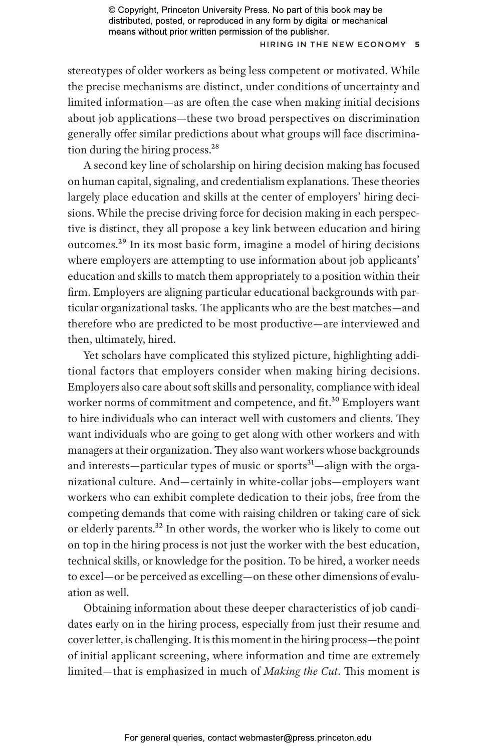## H iring in the New Economy **5**

stereotypes of older workers as being less competent or motivated. While the precise mechanisms are distinct, under conditions of uncertainty and limited information—as are often the case when making initial decisions about job applications—these two broad perspectives on discrimination generally offer similar predictions about what groups will face discrimination during the hiring process.<sup>28</sup>

A second key line of scholarship on hiring decision making has focused on human capital, signaling, and credentialism explanations. These theories largely place education and skills at the center of employers' hiring decisions. While the precise driving force for decision making in each perspective is distinct, they all propose a key link between education and hiring outcomes.29 In its most basic form, imagine a model of hiring decisions where employers are attempting to use information about job applicants' education and skills to match them appropriately to a position within their firm. Employers are aligning particular educational backgrounds with particular organizational tasks. The applicants who are the best matches—and therefore who are predicted to be most productive—are interviewed and then, ultimately, hired.

Yet scholars have complicated this stylized picture, highlighting additional factors that employers consider when making hiring decisions. Employers also care about soft skills and personality, compliance with ideal worker norms of commitment and competence, and fit.<sup>30</sup> Employers want to hire individuals who can interact well with customers and clients. They want individuals who are going to get along with other workers and with managers at their organization. They also want workers whose backgrounds and interests—particular types of music or sports<sup>31</sup>—align with the organizational culture. And—certainly in white-collar jobs—employers want workers who can exhibit complete dedication to their jobs, free from the competing demands that come with raising children or taking care of sick or elderly parents.<sup>32</sup> In other words, the worker who is likely to come out on top in the hiring process is not just the worker with the best education, technical skills, or knowledge for the position. To be hired, a worker needs to excel—or be perceived as excelling—on these other dimensions of evaluation as well.

Obtaining information about these deeper characteristics of job candidates early on in the hiring process, especially from just their resume and cover letter, is challenging. It is this moment in the hiring process—the point of initial applicant screening, where information and time are extremely limited—that is emphasized in much of *Making the Cut*. This moment is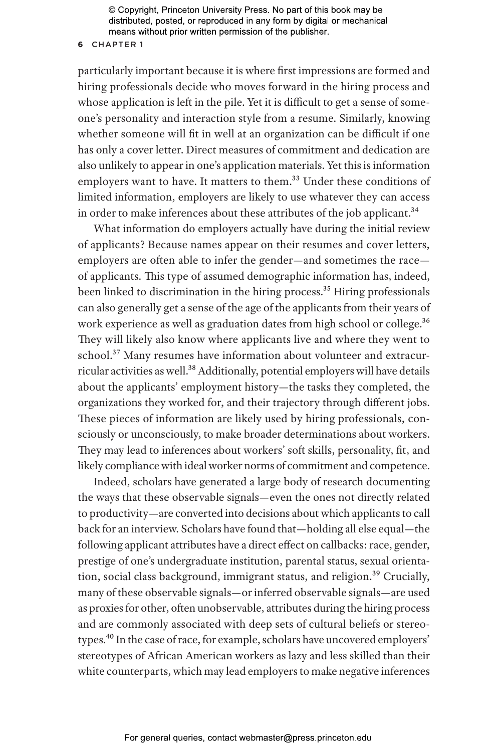#### **6** CHAPTER 1

particularly important because it is where first impressions are formed and hiring professionals decide who moves forward in the hiring process and whose application is left in the pile. Yet it is difficult to get a sense of someone's personality and interaction style from a resume. Similarly, knowing whether someone will fit in well at an organization can be difficult if one has only a cover letter. Direct measures of commitment and dedication are also unlikely to appear in one's application materials. Yet this is information employers want to have. It matters to them.<sup>33</sup> Under these conditions of limited information, employers are likely to use whatever they can access in order to make inferences about these attributes of the job applicant.<sup>34</sup>

What information do employers actually have during the initial review of applicants? Because names appear on their resumes and cover letters, employers are often able to infer the gender—and sometimes the race of applicants. This type of assumed demographic information has, indeed, been linked to discrimination in the hiring process.<sup>35</sup> Hiring professionals can also generally get a sense of the age of the applicants from their years of work experience as well as graduation dates from high school or college.<sup>36</sup> They will likely also know where applicants live and where they went to school.<sup>37</sup> Many resumes have information about volunteer and extracurricular activities as well.<sup>38</sup> Additionally, potential employers will have details about the applicants' employment history—the tasks they completed, the organizations they worked for, and their trajectory through different jobs. These pieces of information are likely used by hiring professionals, consciously or unconsciously, to make broader determinations about workers. They may lead to inferences about workers' soft skills, personality, fit, and likely compliance with ideal worker norms of commitment and competence.

Indeed, scholars have generated a large body of research documenting the ways that these observable signals—even the ones not directly related to productivity—are converted into decisions about which applicants to call back for an interview. Scholars have found that—holding all else equal—the following applicant attributes have a direct effect on callbacks: race, gender, prestige of one's undergraduate institution, parental status, sexual orientation, social class background, immigrant status, and religion.<sup>39</sup> Crucially, many of these observable signals—or inferred observable signals—are used as proxies for other, often unobservable, attributes during the hiring process and are commonly associated with deep sets of cultural beliefs or stereotypes.40 In the case of race, for example, scholars have uncovered employers' stereotypes of African American workers as lazy and less skilled than their white counterparts, which may lead employers to make negative inferences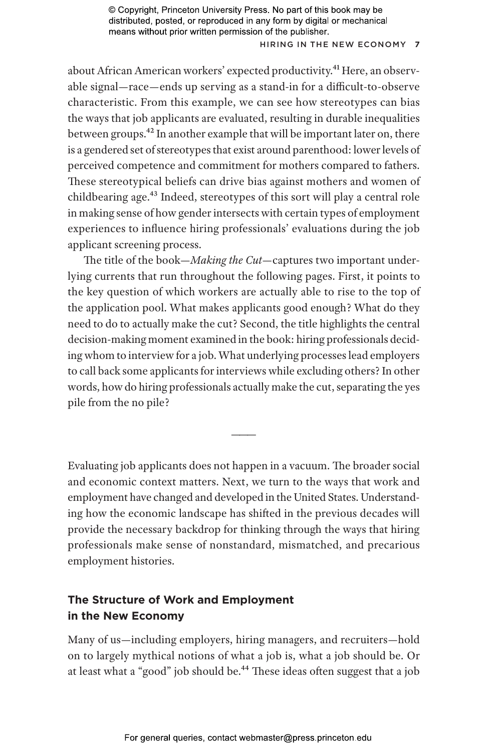## H iring in the New Economy **7**

about African American workers' expected productivity.<sup>41</sup> Here, an observable signal—race—ends up serving as a stand-in for a difficult-to-observe characteristic. From this example, we can see how stereotypes can bias the ways that job applicants are evaluated, resulting in durable inequalities between groups.42 In another example that will be important later on, there is a gendered set of stereotypes that exist around parenthood: lower levels of perceived competence and commitment for mothers compared to fathers. These stereotypical beliefs can drive bias against mothers and women of childbearing age.43 Indeed, stereotypes of this sort will play a central role in making sense of how gender intersects with certain types of employment experiences to influence hiring professionals' evaluations during the job applicant screening process.

The title of the book—*Making the Cut*—captures two important underlying currents that run throughout the following pages. First, it points to the key question of which workers are actually able to rise to the top of the application pool. What makes applicants good enough? What do they need to do to actually make the cut? Second, the title highlights the central decision-making moment examined in the book: hiring professionals deciding whom to interview for a job. What underlying processes lead employers to call back some applicants for interviews while excluding others? In other words, how do hiring professionals actually make the cut, separating the yes pile from the no pile?

Evaluating job applicants does not happen in a vacuum. The broader social and economic context matters. Next, we turn to the ways that work and employment have changed and developed in the United States. Understanding how the economic landscape has shifted in the previous decades will provide the necessary backdrop for thinking through the ways that hiring professionals make sense of nonstandard, mismatched, and precarious employment histories.

———

# **The Structure of Work and Employment in the New Economy**

Many of us—including employers, hiring managers, and recruiters—hold on to largely mythical notions of what a job is, what a job should be. Or at least what a "good" job should be.<sup>44</sup> These ideas often suggest that a job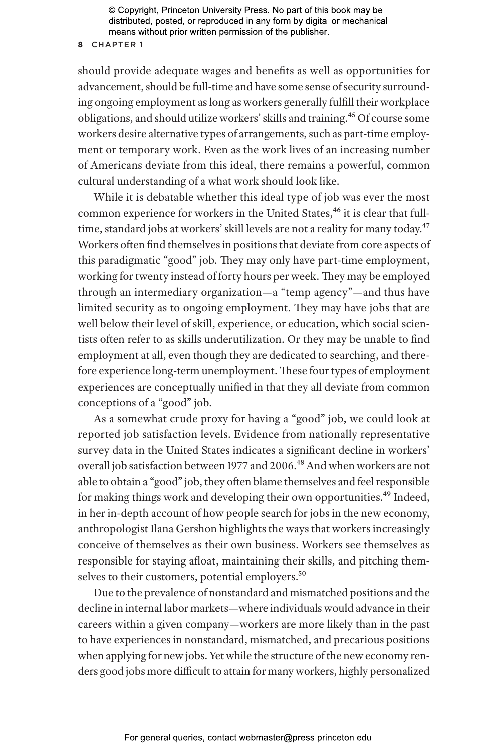#### **8** CHAPTER 1

should provide adequate wages and benefits as well as opportunities for advancement, should be full-time and have some sense of security surrounding ongoing employment as long as workers generally fulfill their workplace obligations, and should utilize workers' skills and training.45 Of course some workers desire alternative types of arrangements, such as part-time employment or temporary work. Even as the work lives of an increasing number of Americans deviate from this ideal, there remains a powerful, common cultural understanding of a what work should look like.

While it is debatable whether this ideal type of job was ever the most common experience for workers in the United States,<sup>46</sup> it is clear that fulltime, standard jobs at workers' skill levels are not a reality for many today.<sup>47</sup> Workers often find themselves in positions that deviate from core aspects of this paradigmatic "good" job. They may only have part-time employment, working for twenty instead of forty hours per week. They may be employed through an intermediary organization—a "temp agency"—and thus have limited security as to ongoing employment. They may have jobs that are well below their level of skill, experience, or education, which social scientists often refer to as skills underutilization. Or they may be unable to find employment at all, even though they are dedicated to searching, and therefore experience long-term unemployment. These four types of employment experiences are conceptually unified in that they all deviate from common conceptions of a "good" job.

As a somewhat crude proxy for having a "good" job, we could look at reported job satisfaction levels. Evidence from nationally representative survey data in the United States indicates a significant decline in workers' overall job satisfaction between 1977 and 2006.<sup>48</sup> And when workers are not able to obtain a "good" job, they often blame themselves and feel responsible for making things work and developing their own opportunities.<sup>49</sup> Indeed, in her in-depth account of how people search for jobs in the new economy, anthropologist Ilana Gershon highlights the ways that workers increasingly conceive of themselves as their own business. Workers see themselves as responsible for staying afloat, maintaining their skills, and pitching themselves to their customers, potential employers.<sup>50</sup>

Due to the prevalence of nonstandard and mismatched positions and the decline in internal labor markets—where individuals would advance in their careers within a given company—workers are more likely than in the past to have experiences in nonstandard, mismatched, and precarious positions when applying for new jobs. Yet while the structure of the new economy renders good jobs more difficult to attain for many workers, highly personalized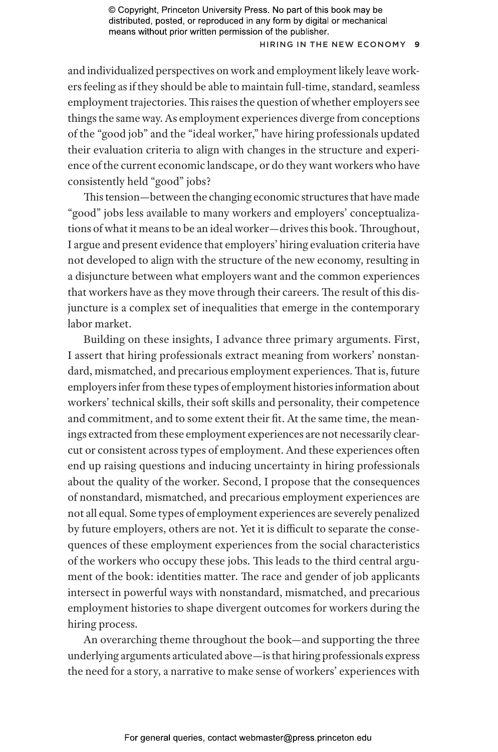## H iring in the New Economy **9**

and individualized perspectives on work and employment likely leave workers feeling as if they should be able to maintain full-time, standard, seamless employment trajectories. This raises the question of whether employers see things the same way. As employment experiences diverge from conceptions of the "good job" and the "ideal worker," have hiring professionals updated their evaluation criteria to align with changes in the structure and experience of the current economic landscape, or do they want workers who have consistently held "good" jobs?

This tension—between the changing economic structures that have made "good" jobs less available to many workers and employers' conceptualizations of what it means to be an ideal worker—drives this book. Throughout, I argue and present evidence that employers' hiring evaluation criteria have not developed to align with the structure of the new economy, resulting in a disjuncture between what employers want and the common experiences that workers have as they move through their careers. The result of this disjuncture is a complex set of inequalities that emerge in the contemporary labor market.

Building on these insights, I advance three primary arguments. First, I assert that hiring professionals extract meaning from workers' nonstandard, mismatched, and precarious employment experiences. That is, future employers infer from these types of employment histories information about workers' technical skills, their soft skills and personality, their competence and commitment, and to some extent their fit. At the same time, the meanings extracted from these employment experiences are not necessarily clearcut or consistent across types of employment. And these experiences often end up raising questions and inducing uncertainty in hiring professionals about the quality of the worker. Second, I propose that the consequences of nonstandard, mismatched, and precarious employment experiences are not all equal. Some types of employment experiences are severely penalized by future employers, others are not. Yet it is difficult to separate the consequences of these employment experiences from the social characteristics of the workers who occupy these jobs. This leads to the third central argument of the book: identities matter. The race and gender of job applicants intersect in powerful ways with nonstandard, mismatched, and precarious employment histories to shape divergent outcomes for workers during the hiring process.

An overarching theme throughout the book—and supporting the three underlying arguments articulated above—is that hiring professionals express the need for a story, a narrative to make sense of workers' experiences with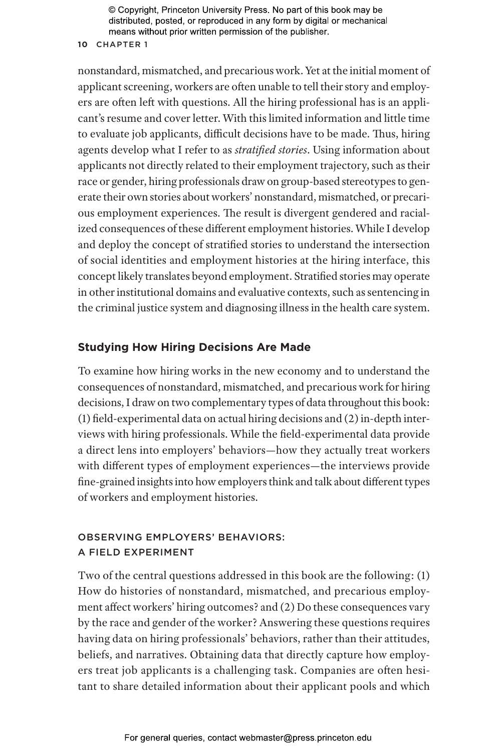# **10** CHAPTER 1

nonstandard, mismatched, and precarious work. Yet at the initial moment of applicant screening, workers are often unable to tell their story and employers are often left with questions. All the hiring professional has is an applicant's resume and cover letter. With this limited information and little time to evaluate job applicants, difficult decisions have to be made. Thus, hiring agents develop what I refer to as *stratified stories*. Using information about applicants not directly related to their employment trajectory, such as their race or gender, hiring professionals draw on group-based stereotypes to generate their own stories about workers' nonstandard, mismatched, or precarious employment experiences. The result is divergent gendered and racialized consequences of these different employment histories. While I develop and deploy the concept of stratified stories to understand the intersection of social identities and employment histories at the hiring interface, this concept likely translates beyond employment. Stratified stories may operate in other institutional domains and evaluative contexts, such as sentencing in the criminal justice system and diagnosing illness in the health care system.

# **Studying How Hiring Decisions Are Made**

To examine how hiring works in the new economy and to understand the consequences of nonstandard, mismatched, and precarious work for hiring decisions, I draw on two complementary types of data throughout this book: (1) field-experimental data on actual hiring decisions and (2) in-depth interviews with hiring professionals. While the field-experimental data provide a direct lens into employers' behaviors—how they actually treat workers with different types of employment experiences—the interviews provide fine-grained insights into how employers think and talk about different types of workers and employment histories.

# OBSERVING EMPLOYERS' BEHAVIORS: A FIELD EXPERIMENT

Two of the central questions addressed in this book are the following: (1) How do histories of nonstandard, mismatched, and precarious employment affect workers' hiring outcomes? and (2) Do these consequences vary by the race and gender of the worker? Answering these questions requires having data on hiring professionals' behaviors, rather than their attitudes, beliefs, and narratives. Obtaining data that directly capture how employers treat job applicants is a challenging task. Companies are often hesitant to share detailed information about their applicant pools and which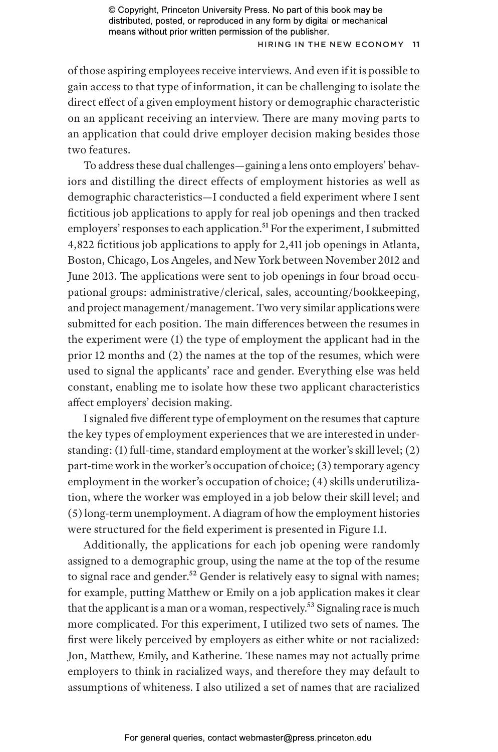## **HIRING IN THE NEW ECONOMY 11**

of those aspiring employees receive interviews. And even if it is possible to gain access to that type of information, it can be challenging to isolate the direct effect of a given employment history or demographic characteristic on an applicant receiving an interview. There are many moving parts to an application that could drive employer decision making besides those two features.

To address these dual challenges—gaining a lens onto employers' behaviors and distilling the direct effects of employment histories as well as demographic characteristics—I conducted a field experiment where I sent fictitious job applications to apply for real job openings and then tracked employers' responses to each application.<sup>51</sup> For the experiment, I submitted 4,822 fictitious job applications to apply for 2,411 job openings in Atlanta, Boston, Chicago, Los Angeles, and New York between November 2012 and June 2013. The applications were sent to job openings in four broad occupational groups: administrative/clerical, sales, accounting/bookkeeping, and project management/management. Two very similar applications were submitted for each position. The main differences between the resumes in the experiment were (1) the type of employment the applicant had in the prior 12 months and (2) the names at the top of the resumes, which were used to signal the applicants' race and gender. Everything else was held constant, enabling me to isolate how these two applicant characteristics affect employers' decision making.

I signaled five different type of employment on the resumes that capture the key types of employment experiences that we are interested in understanding: (1) full-time, standard employment at the worker's skill level; (2) part-time work in the worker's occupation of choice; (3) temporary agency employment in the worker's occupation of choice; (4) skills underutilization, where the worker was employed in a job below their skill level; and (5) long-term unemployment. A diagram of how the employment histories were structured for the field experiment is presented in Figure 1.1.

Additionally, the applications for each job opening were randomly assigned to a demographic group, using the name at the top of the resume to signal race and gender.<sup>52</sup> Gender is relatively easy to signal with names; for example, putting Matthew or Emily on a job application makes it clear that the applicant is a man or a woman, respectively.<sup>53</sup> Signaling race is much more complicated. For this experiment, I utilized two sets of names. The first were likely perceived by employers as either white or not racialized: Jon, Matthew, Emily, and Katherine. These names may not actually prime employers to think in racialized ways, and therefore they may default to assumptions of whiteness. I also utilized a set of names that are racialized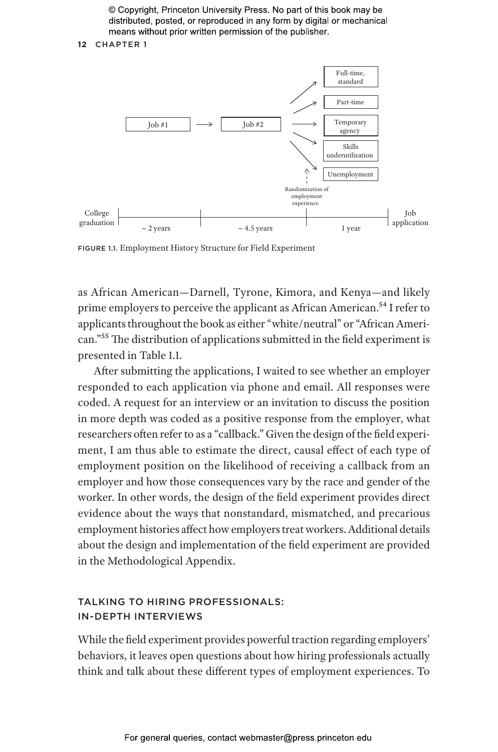**12** CHAPTER 1



FIGURE 1.1. Employment History Structure for Field Experiment

as African American—Darnell, Tyrone, Kimora, and Kenya—and likely prime employers to perceive the applicant as African American.<sup>54</sup> I refer to applicants throughout the book as either "white/neutral" or "African American."55 The distribution of applications submitted in the field experiment is presented in Table 1.1.

After submitting the applications, I waited to see whether an employer responded to each application via phone and email. All responses were coded. A request for an interview or an invitation to discuss the position in more depth was coded as a positive response from the employer, what researchers often refer to as a "callback." Given the design of the field experiment, I am thus able to estimate the direct, causal effect of each type of employment position on the likelihood of receiving a callback from an employer and how those consequences vary by the race and gender of the worker. In other words, the design of the field experiment provides direct evidence about the ways that nonstandard, mismatched, and precarious employment histories affect how employers treat workers. Additional details about the design and implementation of the field experiment are provided in the Methodological Appendix.

# TALKING TO HIRING PROFESSIONALS: IN- DEPTH INTERVIEWS

While the field experiment provides powerful traction regarding employers' behaviors, it leaves open questions about how hiring professionals actually think and talk about these different types of employment experiences. To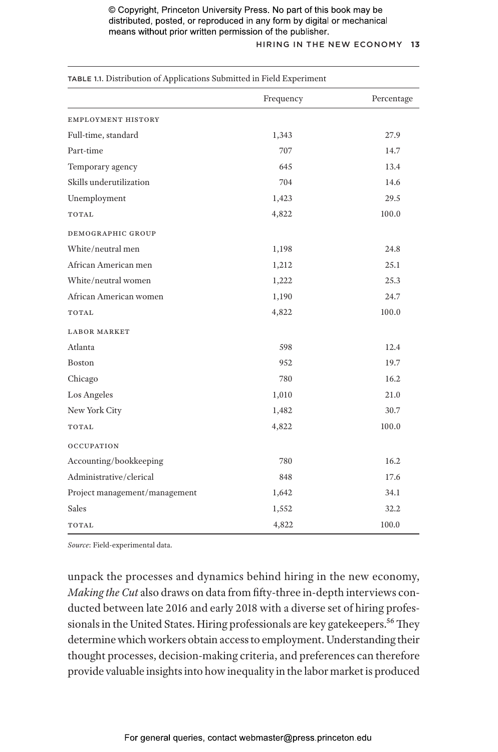# H iring in the New Economy **13**

| TABLE 1.1. Distribution of Applications Submitted in Field Experiment |           |            |  |
|-----------------------------------------------------------------------|-----------|------------|--|
|                                                                       | Frequency | Percentage |  |
| <b>EMPLOYMENT HISTORY</b>                                             |           |            |  |
| Full-time, standard                                                   | 1,343     | 27.9       |  |
| Part-time                                                             | 707       | 14.7       |  |
| Temporary agency                                                      | 645       | 13.4       |  |
| Skills underutilization                                               | 704       | 14.6       |  |
| Unemployment                                                          | 1,423     | 29.5       |  |
| TOTAL                                                                 | 4,822     | 100.0      |  |
| DEMOGRAPHIC GROUP                                                     |           |            |  |
| White/neutral men                                                     | 1,198     | 24.8       |  |
| African American men                                                  | 1,212     | 25.1       |  |
| White/neutral women                                                   | 1,222     | 25.3       |  |
| African American women                                                | 1,190     | 24.7       |  |
| TOTAL                                                                 | 4,822     | 100.0      |  |
| <b>LABOR MARKET</b>                                                   |           |            |  |
| Atlanta                                                               | 598       | 12.4       |  |
| Boston                                                                | 952       | 19.7       |  |
| Chicago                                                               | 780       | 16.2       |  |
| Los Angeles                                                           | 1,010     | 21.0       |  |
| New York City                                                         | 1,482     | 30.7       |  |
| TOTAL                                                                 | 4,822     | 100.0      |  |
| <b>OCCUPATION</b>                                                     |           |            |  |
| Accounting/bookkeeping                                                | 780       | 16.2       |  |
| Administrative/clerical                                               | 848       | 17.6       |  |
| Project management/management                                         | 1,642     | 34.1       |  |
| Sales                                                                 | 1,552     | 32.2       |  |
| TOTAL                                                                 | 4,822     | 100.0      |  |

*Source*: Field-experimental data.

unpack the processes and dynamics behind hiring in the new economy, *Making the Cut* also draws on data from fifty-three in-depth interviews conducted between late 2016 and early 2018 with a diverse set of hiring professionals in the United States. Hiring professionals are key gatekeepers.<sup>56</sup> They determine which workers obtain access to employment. Understanding their thought processes, decision-making criteria, and preferences can therefore provide valuable insights into how inequality in the labor market is produced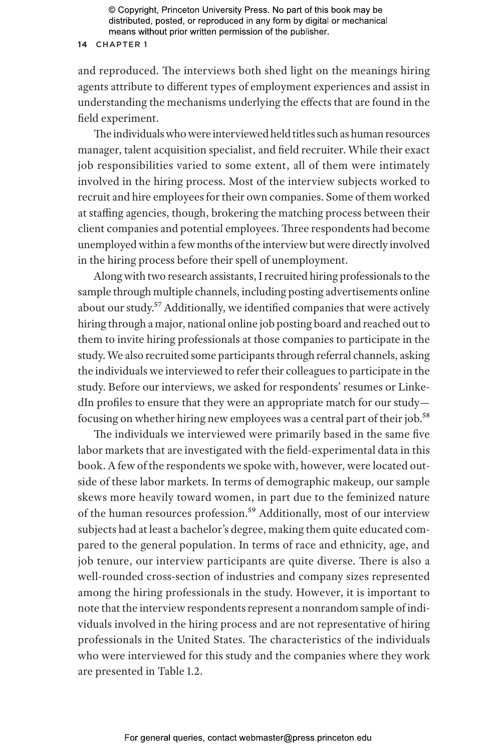#### **14** CHAPTER 1

and reproduced. The interviews both shed light on the meanings hiring agents attribute to different types of employment experiences and assist in understanding the mechanisms underlying the effects that are found in the field experiment.

The individuals who were interviewed held titles such as human resources manager, talent acquisition specialist, and field recruiter. While their exact job responsibilities varied to some extent, all of them were intimately involved in the hiring process. Most of the interview subjects worked to recruit and hire employees for their own companies. Some of them worked at staffing agencies, though, brokering the matching process between their client companies and potential employees. Three respondents had become unemployed within a few months of the interview but were directly involved in the hiring process before their spell of unemployment.

Along with two research assistants, I recruited hiring professionals to the sample through multiple channels, including posting advertisements online about our study.<sup>57</sup> Additionally, we identified companies that were actively hiring through a major, national online job posting board and reached out to them to invite hiring professionals at those companies to participate in the study. We also recruited some participants through referral channels, asking the individuals we interviewed to refer their colleagues to participate in the study. Before our interviews, we asked for respondents' resumes or LinkedIn profiles to ensure that they were an appropriate match for our study focusing on whether hiring new employees was a central part of their job.58

The individuals we interviewed were primarily based in the same five labor markets that are investigated with the field-experimental data in this book. A few of the respondents we spoke with, however, were located outside of these labor markets. In terms of demographic makeup, our sample skews more heavily toward women, in part due to the feminized nature of the human resources profession.<sup>59</sup> Additionally, most of our interview subjects had at least a bachelor's degree, making them quite educated compared to the general population. In terms of race and ethnicity, age, and job tenure, our interview participants are quite diverse. There is also a well-rounded cross-section of industries and company sizes represented among the hiring professionals in the study. However, it is important to note that the interview respondents represent a nonrandom sample of individuals involved in the hiring process and are not representative of hiring professionals in the United States. The characteristics of the individuals who were interviewed for this study and the companies where they work are presented in Table 1.2.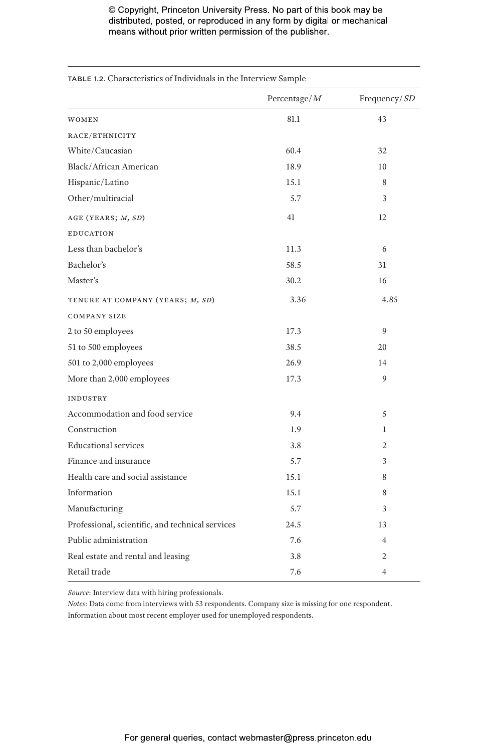| TABLE 1.2. Characteristics of Individuals in the Interview Sample |                 |                |
|-------------------------------------------------------------------|-----------------|----------------|
|                                                                   | Percentage/ $M$ | Frequency/SD   |
| WOMEN                                                             | 81.1            | 43             |
| RACE/ETHNICITY                                                    |                 |                |
| White/Caucasian                                                   | 60.4            | 32             |
| Black/African American                                            | 18.9            | 10             |
| Hispanic/Latino                                                   | 15.1            | 8              |
| Other/multiracial                                                 | 5.7             | 3              |
| AGE (YEARS; M, SD)                                                | 41              | 12             |
| <b>EDUCATION</b>                                                  |                 |                |
| Less than bachelor's                                              | 11.3            | 6              |
| Bachelor's                                                        | 58.5            | 31             |
| Master's                                                          | 30.2            | 16             |
| TENURE AT COMPANY (YEARS; M, SD)                                  | 3.36            | 4.85           |
| <b>COMPANY SIZE</b>                                               |                 |                |
| 2 to 50 employees                                                 | 17.3            | 9              |
| 51 to 500 employees                                               | 38.5            | 20             |
| 501 to 2,000 employees                                            | 26.9            | 14             |
| More than 2,000 employees                                         | 17.3            | 9              |
| <b>INDUSTRY</b>                                                   |                 |                |
| Accommodation and food service                                    | 9.4             | 5              |
| Construction                                                      | 1.9             | 1              |
| <b>Educational services</b>                                       | 3.8             | $\overline{c}$ |
| Finance and insurance                                             | 5.7             | 3              |
| Health care and social assistance                                 | 15.1            | 8              |
| Information                                                       | 15.1            | 8              |
| Manufacturing                                                     | 5.7             | 3              |
| Professional, scientific, and technical services                  | 24.5            | 13             |
| Public administration                                             | 7.6             | $\overline{4}$ |
| Real estate and rental and leasing                                | 3.8             | 2              |
| Retail trade                                                      | 7.6             | 4              |

*Source*: Interview data with hiring professionals.

*Notes*: Data come from interviews with 53 respondents. Company size is missing for one respondent. Information about most recent employer used for unemployed respondents.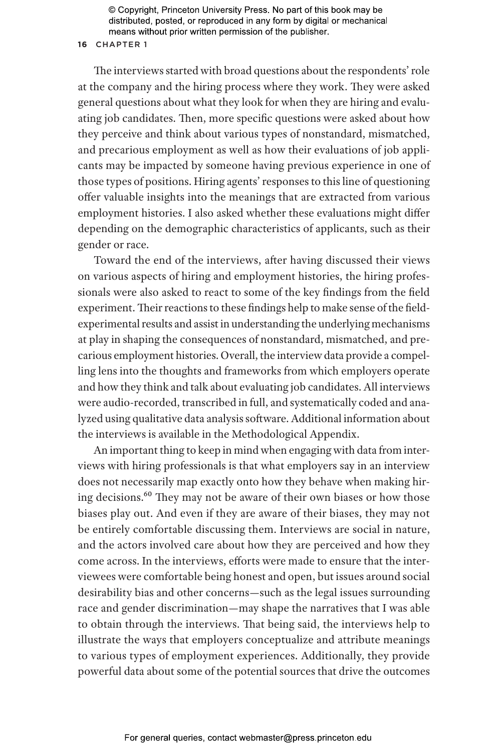## **16** CHAPTER 1

The interviews started with broad questions about the respondents' role at the company and the hiring process where they work. They were asked general questions about what they look for when they are hiring and evaluating job candidates. Then, more specific questions were asked about how they perceive and think about various types of nonstandard, mismatched, and precarious employment as well as how their evaluations of job applicants may be impacted by someone having previous experience in one of those types of positions. Hiring agents' responses to this line of questioning offer valuable insights into the meanings that are extracted from various employment histories. I also asked whether these evaluations might differ depending on the demographic characteristics of applicants, such as their gender or race.

Toward the end of the interviews, after having discussed their views on various aspects of hiring and employment histories, the hiring professionals were also asked to react to some of the key findings from the field experiment. Their reactions to these findings help to make sense of the fieldexperimental results and assist in understanding the underlying mechanisms at play in shaping the consequences of nonstandard, mismatched, and precarious employment histories. Overall, the interview data provide a compelling lens into the thoughts and frameworks from which employers operate and how they think and talk about evaluating job candidates. All interviews were audio-recorded, transcribed in full, and systematically coded and analyzed using qualitative data analysis software. Additional information about the interviews is available in the Methodological Appendix.

An important thing to keep in mind when engaging with data from interviews with hiring professionals is that what employers say in an interview does not necessarily map exactly onto how they behave when making hiring decisions.60 They may not be aware of their own biases or how those biases play out. And even if they are aware of their biases, they may not be entirely comfortable discussing them. Interviews are social in nature, and the actors involved care about how they are perceived and how they come across. In the interviews, efforts were made to ensure that the interviewees were comfortable being honest and open, but issues around social desirability bias and other concerns—such as the legal issues surrounding race and gender discrimination—may shape the narratives that I was able to obtain through the interviews. That being said, the interviews help to illustrate the ways that employers conceptualize and attribute meanings to various types of employment experiences. Additionally, they provide powerful data about some of the potential sources that drive the outcomes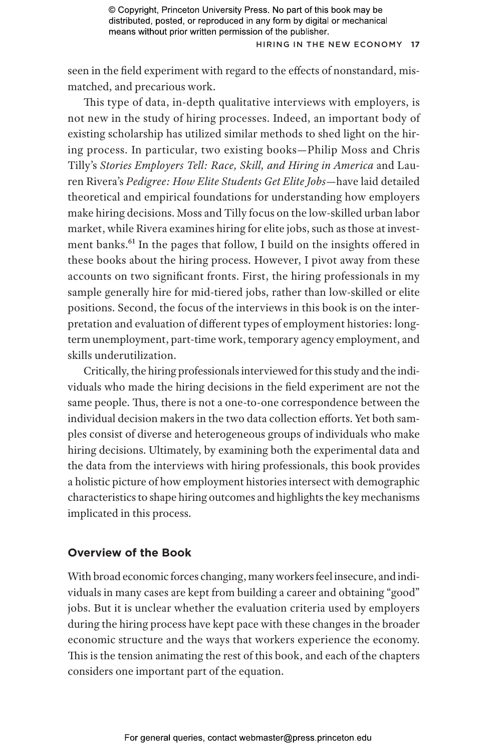HIRING IN THE NEW ECONOMY 17

seen in the field experiment with regard to the effects of nonstandard, mismatched, and precarious work.

This type of data, in-depth qualitative interviews with employers, is not new in the study of hiring processes. Indeed, an important body of existing scholarship has utilized similar methods to shed light on the hiring process. In particular, two existing books—Philip Moss and Chris Tilly's *Stories Employers Tell: Race, Skill, and Hiring in America* and Lauren Rivera's *Pedigree: How Elite Students Get Elite Jobs*—have laid detailed theoretical and empirical foundations for understanding how employers make hiring decisions. Moss and Tilly focus on the low-skilled urban labor market, while Rivera examines hiring for elite jobs, such as those at investment banks.<sup>61</sup> In the pages that follow, I build on the insights offered in these books about the hiring process. However, I pivot away from these accounts on two significant fronts. First, the hiring professionals in my sample generally hire for mid-tiered jobs, rather than low-skilled or elite positions. Second, the focus of the interviews in this book is on the interpretation and evaluation of different types of employment histories: longterm unemployment, part-time work, temporary agency employment, and skills underutilization.

Critically, the hiring professionals interviewed for this study and the individuals who made the hiring decisions in the field experiment are not the same people. Thus, there is not a one-to-one correspondence between the individual decision makers in the two data collection efforts. Yet both samples consist of diverse and heterogeneous groups of individuals who make hiring decisions. Ultimately, by examining both the experimental data and the data from the interviews with hiring professionals, this book provides a holistic picture of how employment histories intersect with demographic characteristics to shape hiring outcomes and highlights the key mechanisms implicated in this process.

# **Overview of the Book**

With broad economic forces changing, many workers feel insecure, and individuals in many cases are kept from building a career and obtaining "good" jobs. But it is unclear whether the evaluation criteria used by employers during the hiring process have kept pace with these changes in the broader economic structure and the ways that workers experience the economy. This is the tension animating the rest of this book, and each of the chapters considers one important part of the equation.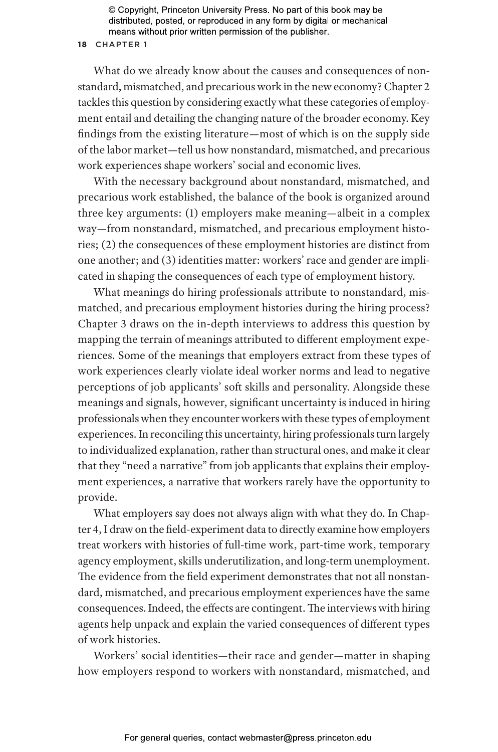#### **18** CHAPTER 1

What do we already know about the causes and consequences of nonstandard, mismatched, and precarious work in the new economy? Chapter 2 tackles this question by considering exactly what these categories of employment entail and detailing the changing nature of the broader economy. Key findings from the existing literature—most of which is on the supply side of the labor market—tell us how nonstandard, mismatched, and precarious work experiences shape workers' social and economic lives.

With the necessary background about nonstandard, mismatched, and precarious work established, the balance of the book is organized around three key arguments: (1) employers make meaning—albeit in a complex way—from nonstandard, mismatched, and precarious employment histories; (2) the consequences of these employment histories are distinct from one another; and (3) identities matter: workers' race and gender are implicated in shaping the consequences of each type of employment history.

What meanings do hiring professionals attribute to nonstandard, mismatched, and precarious employment histories during the hiring process? Chapter 3 draws on the in-depth interviews to address this question by mapping the terrain of meanings attributed to different employment experiences. Some of the meanings that employers extract from these types of work experiences clearly violate ideal worker norms and lead to negative perceptions of job applicants' soft skills and personality. Alongside these meanings and signals, however, significant uncertainty is induced in hiring professionals when they encounter workers with these types of employment experiences. In reconciling this uncertainty, hiring professionals turn largely to individualized explanation, rather than structural ones, and make it clear that they "need a narrative" from job applicants that explains their employment experiences, a narrative that workers rarely have the opportunity to provide.

What employers say does not always align with what they do. In Chapter 4, I draw on the field-experiment data to directly examine how employers treat workers with histories of full-time work, part-time work, temporary agency employment, skills underutilization, and long-term unemployment. The evidence from the field experiment demonstrates that not all nonstandard, mismatched, and precarious employment experiences have the same consequences. Indeed, the effects are contingent. The interviews with hiring agents help unpack and explain the varied consequences of different types of work histories.

Workers' social identities—their race and gender—matter in shaping how employers respond to workers with nonstandard, mismatched, and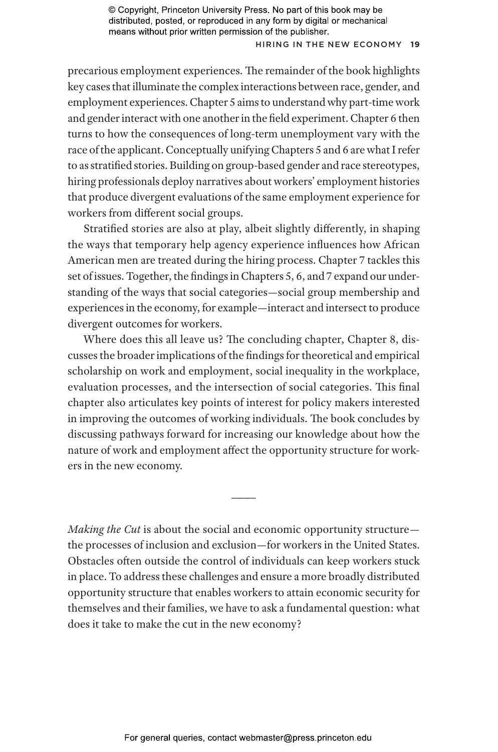## H iring in the New Economy **19**

precarious employment experiences. The remainder of the book highlights key cases that illuminate the complex interactions between race, gender, and employment experiences. Chapter 5 aims to understand why part-time work and gender interact with one another in the field experiment. Chapter 6 then turns to how the consequences of long-term unemployment vary with the race of the applicant. Conceptually unifying Chapters 5 and 6 are what I refer to as stratified stories. Building on group-based gender and race stereotypes, hiring professionals deploy narratives about workers' employment histories that produce divergent evaluations of the same employment experience for workers from different social groups.

Stratified stories are also at play, albeit slightly differently, in shaping the ways that temporary help agency experience influences how African American men are treated during the hiring process. Chapter 7 tackles this set of issues. Together, the findings in Chapters 5, 6, and 7 expand our understanding of the ways that social categories—social group membership and experiences in the economy, for example—interact and intersect to produce divergent outcomes for workers.

Where does this all leave us? The concluding chapter, Chapter 8, discusses the broader implications of the findings for theoretical and empirical scholarship on work and employment, social inequality in the workplace, evaluation processes, and the intersection of social categories. This final chapter also articulates key points of interest for policy makers interested in improving the outcomes of working individuals. The book concludes by discussing pathways forward for increasing our knowledge about how the nature of work and employment affect the opportunity structure for workers in the new economy.

*Making the Cut* is about the social and economic opportunity structure the processes of inclusion and exclusion—for workers in the United States. Obstacles often outside the control of individuals can keep workers stuck in place. To address these challenges and ensure a more broadly distributed opportunity structure that enables workers to attain economic security for themselves and their families, we have to ask a fundamental question: what does it take to make the cut in the new economy?

———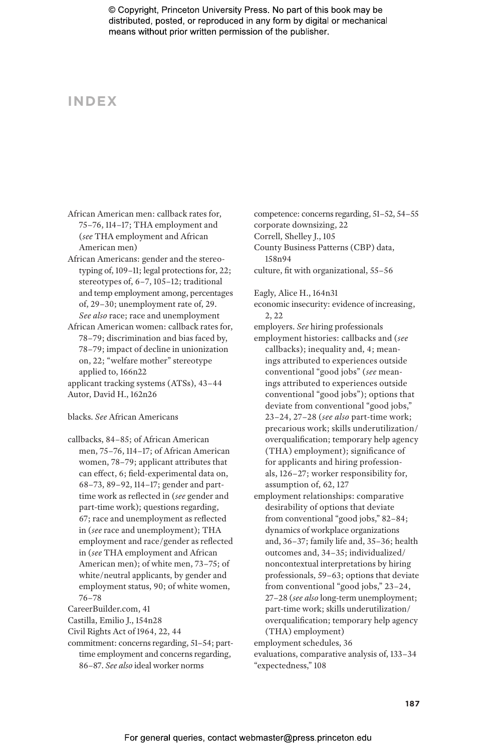# **INDEX**

- African American men: callback rates for, 75–76, 114–17; THA employment and (*see* THA employment and African American men)
- African Americans: gender and the stereotyping of, 109–11; legal protections for, 22; stereotypes of, 6–7, 105–12; traditional and temp employment among, percentages of, 29–30; unemployment rate of, 29. *See also* race; race and unemployment
- African American women: callback rates for, 78–79; discrimination and bias faced by, 78–79; impact of decline in unionization on, 22; "welfare mother" stereotype applied to, 166n22
- applicant tracking systems (ATSs), 43–44 Autor, David H., 162n26

# blacks. *See* African Americans

- callbacks, 84–85; of African American men, 75–76, 114–17; of African American women, 78–79; applicant attributes that can effect, 6; field-experimental data on, 68–73, 89–92, 114–17; gender and parttime work as reflected in (*see* gender and part-time work); questions regarding, 67; race and unemployment as reflected in (*see* race and unemployment); THA employment and race/gender as reflected in (*see* THA employment and African American men); of white men, 73–75; of white/neutral applicants, by gender and employment status, 90; of white women, 76–78
- CareerBuilder.com, 41
- Castilla, Emilio J., 154n28
- Civil Rights Act of 1964, 22, 44
- commitment: concerns regarding, 51–54; parttime employment and concerns regarding, 86–87. *See also* ideal worker norms

competence: concerns regarding, 51–52, 54–55 corporate downsizing, 22 Correll, Shelley J., 105 County Business Patterns (CBP) data, 158n94

- culture, fit with organizational, 55–56
- Eagly, Alice H., 164n31
- economic insecurity: evidence of increasing, 2, 22
- employers. *See* hiring professionals
- employment histories: callbacks and (*see* callbacks); inequality and, 4; meanings attributed to experiences outside conventional "good jobs" (*see* meanings attributed to experiences outside conventional "good jobs"); options that deviate from conventional "good jobs," 23–24, 27–28 (*see also* part-time work; precarious work; skills underutilization/ overqualification; temporary help agency (THA) employment); significance of for applicants and hiring professionals, 126–27; worker responsibility for, assumption of, 62, 127
- employment relationships: comparative desirability of options that deviate from conventional "good jobs," 82–84; dynamics of workplace organizations and, 36–37; family life and, 35–36; health outcomes and, 34–35; individualized/ noncontextual interpretations by hiring professionals, 59–63; options that deviate from conventional "good jobs," 23–24, 27–28 (*see also* long-term unemployment; part-time work; skills underutilization/ overqualification; temporary help agency (THA) employment)
- employment schedules, 36 evaluations, comparative analysis of, 133–34 "expectedness," 108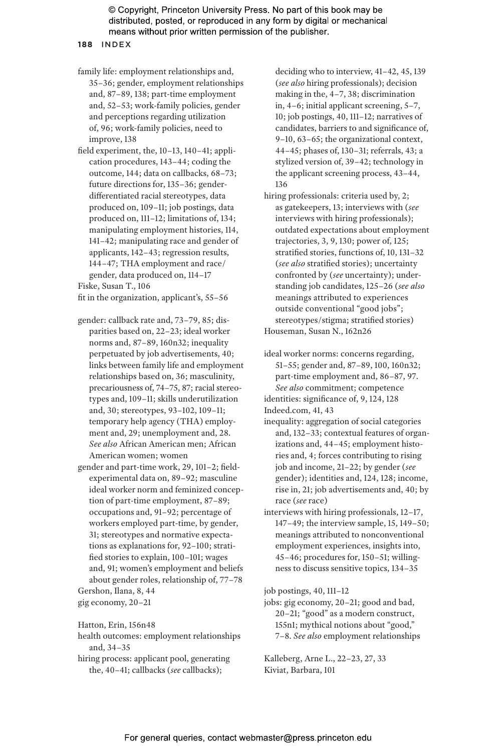**188** INDEX

- family life: employment relationships and, 35–36; gender, employment relationships and, 87–89, 138; part-time employment and, 52–53; work-family policies, gender and perceptions regarding utilization of, 96; work-family policies, need to improve, 138
- field experiment, the, 10–13, 140–41; application procedures, 143–44; coding the outcome, 144; data on callbacks, 68–73; future directions for, 135–36; genderdifferentiated racial stereotypes, data produced on, 109–11; job postings, data produced on, 111–12; limitations of, 134; manipulating employment histories, 114, 141–42; manipulating race and gender of applicants, 142–43; regression results, 144–47; THA employment and race/ gender, data produced on, 114–17 Fiske, Susan T., 106

fit in the organization, applicant's, 55–56

- gender: callback rate and, 73–79, 85; disparities based on, 22–23; ideal worker norms and, 87–89, 160n32; inequality perpetuated by job advertisements, 40; links between family life and employment relationships based on, 36; masculinity, precariousness of, 74–75, 87; racial stereotypes and, 109–11; skills underutilization and, 30; stereotypes, 93–102, 109–11; temporary help agency (THA) employment and, 29; unemployment and, 28. *See also* African American men; African American women; women
- gender and part-time work, 29, 101–2; fieldexperimental data on, 89–92; masculine ideal worker norm and feminized conception of part-time employment, 87–89; occupations and, 91–92; percentage of workers employed part-time, by gender, 31; stereotypes and normative expectations as explanations for, 92–100; stratified stories to explain, 100–101; wages and, 91; women's employment and beliefs about gender roles, relationship of, 77–78

Gershon, Ilana, 8, 44 gig economy, 20–21

Hatton, Erin, 156n48

health outcomes: employment relationships and, 34–35

hiring process: applicant pool, generating the, 40–41; callbacks (*see* callbacks);

deciding who to interview, 41–42, 45, 139 (*see also* hiring professionals); decision making in the, 4–7, 38; discrimination in, 4–6; initial applicant screening, 5–7, 10; job postings, 40, 111–12; narratives of candidates, barriers to and significance of, 9–10, 63–65; the organizational context, 44–45; phases of, 130–31; referrals, 43; a stylized version of, 39–42; technology in the applicant screening process, 43–44, 136

- hiring professionals: criteria used by, 2; as gatekeepers, 13; interviews with (*see* interviews with hiring professionals); outdated expectations about employment trajectories, 3, 9, 130; power of, 125; stratified stories, functions of, 10, 131–32 (*see also* stratified stories); uncertainty confronted by (*see* uncertainty); understanding job candidates, 125–26 (*see also* meanings attributed to experiences outside conventional "good jobs"; stereotypes/stigma; stratified stories) Houseman, Susan N., 162n26
- ideal worker norms: concerns regarding, 51–55; gender and, 87–89, 100, 160n32; part-time employment and, 86–87, 97. *See also* commitment; competence identities: significance of, 9, 124, 128

Indeed.com, 41, 43

- inequality: aggregation of social categories and, 132–33; contextual features of organizations and, 44–45; employment histories and, 4; forces contributing to rising job and income, 21–22; by gender (*see* gender); identities and, 124, 128; income, rise in, 21; job advertisements and, 40; by race (*see* race)
- interviews with hiring professionals, 12–17, 147–49; the interview sample, 15, 149–50; meanings attributed to nonconventional employment experiences, insights into, 45–46; procedures for, 150–51; willingness to discuss sensitive topics, 134–35

job postings, 40, 111–12

jobs: gig economy, 20–21; good and bad, 20–21; "good" as a modern construct, 155n1; mythical notions about "good," 7–8. *See also* employment relationships

Kalleberg, Arne L., 22–23, 27, 33 Kiviat, Barbara, 101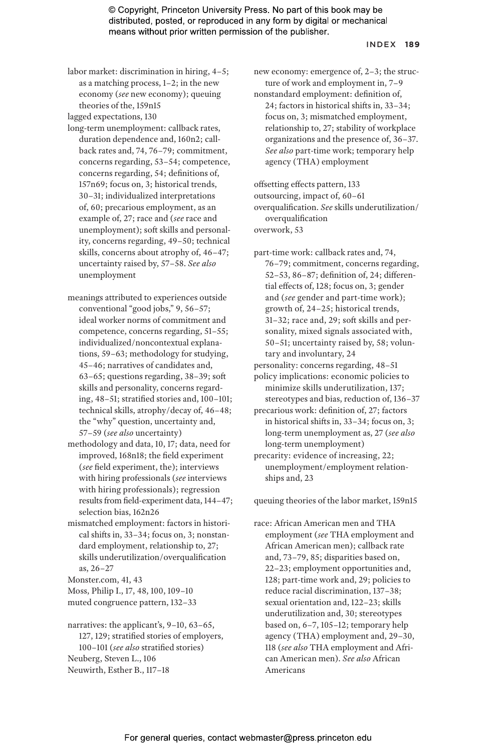#### INDEX **189**

labor market: discrimination in hiring, 4–5; as a matching process, 1–2; in the new economy (*see* new economy); queuing theories of the, 159n15

lagged expectations, 130

- long-term unemployment: callback rates, duration dependence and, 160n2; callback rates and, 74, 76–79; commitment, concerns regarding, 53–54; competence, concerns regarding, 54; definitions of, 157n69; focus on, 3; historical trends, 30–31; individualized interpretations of, 60; precarious employment, as an example of, 27; race and (*see* race and unemployment); soft skills and personality, concerns regarding, 49–50; technical skills, concerns about atrophy of, 46–47; uncertainty raised by, 57–58. *See also* unemployment
- meanings attributed to experiences outside conventional "good jobs," 9, 56–57; ideal worker norms of commitment and competence, concerns regarding, 51–55; individualized/noncontextual explanations, 59–63; methodology for studying, 45–46; narratives of candidates and, 63–65; questions regarding, 38–39; soft skills and personality, concerns regarding, 48–51; stratified stories and, 100–101; technical skills, atrophy/decay of, 46–48; the "why" question, uncertainty and, 57–59 (*see also* uncertainty)
- methodology and data, 10, 17; data, need for improved, 168n18; the field experiment (*see* field experiment, the); interviews with hiring professionals (*see* interviews with hiring professionals); regression results from field-experiment data, 144–47; selection bias, 162n26
- mismatched employment: factors in historical shifts in, 33–34; focus on, 3; nonstandard employment, relationship to, 27; skills underutilization/overqualification as, 26–27

Monster.com, 41, 43

- Moss, Philip I., 17, 48, 100, 109–10
- muted congruence pattern, 132–33

narratives: the applicant's, 9–10, 63–65, 127, 129; stratified stories of employers, 100–101 (*see also* stratified stories) Neuberg, Steven L., 106 Neuwirth, Esther B., 117–18

new economy: emergence of, 2–3; the structure of work and employment in, 7–9

nonstandard employment: definition of, 24; factors in historical shifts in, 33–34; focus on, 3; mismatched employment, relationship to, 27; stability of workplace organizations and the presence of, 36–37. *See also* part-time work; temporary help agency (THA) employment

offsetting effects pattern, 133 outsourcing, impact of, 60–61 overqualification. *See* skills underutilization/ overqualification overwork, 53

part-time work: callback rates and, 74, 76–79; commitment, concerns regarding, 52–53, 86–87; definition of, 24; differential effects of, 128; focus on, 3; gender and (*see* gender and part-time work); growth of, 24–25; historical trends, 31–32; race and, 29; soft skills and personality, mixed signals associated with, 50–51; uncertainty raised by, 58; voluntary and involuntary, 24

personality: concerns regarding, 48–51

policy implications: economic policies to minimize skills underutilization, 137; stereotypes and bias, reduction of, 136–37

- precarious work: definition of, 27; factors in historical shifts in, 33–34; focus on, 3; long-term unemployment as, 27 (*see also* long-term unemployment)
- precarity: evidence of increasing, 22; unemployment/employment relationships and, 23

queuing theories of the labor market, 159n15

race: African American men and THA employment (*see* THA employment and African American men); callback rate and, 73–79, 85; disparities based on, 22–23; employment opportunities and, 128; part-time work and, 29; policies to reduce racial discrimination, 137–38; sexual orientation and, 122–23; skills underutilization and, 30; stereotypes based on, 6–7, 105–12; temporary help agency (THA) employment and, 29–30, 118 (*see also* THA employment and African American men). *See also* African Americans